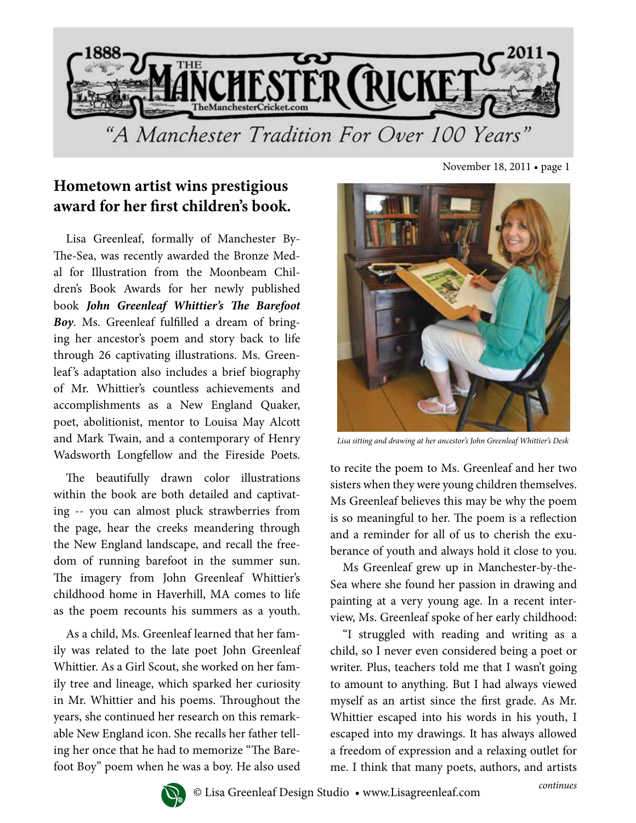

## **Hometown artist wins prestigious award for her first children's book.**

Lisa Greenleaf, formally of Manchester By-The-Sea, was recently awarded the Bronze Medal for Illustration from the Moonbeam Children's Book Awards for her newly published book *John Greenleaf Whittier's The Barefoot Boy*. Ms. Greenleaf fulfilled a dream of bringing her ancestor's poem and story back to life through 26 captivating illustrations. Ms. Greenleaf's adaptation also includes a brief biography of Mr. Whittier's countless achievements and accomplishments as a New England Quaker, poet, abolitionist, mentor to Louisa May Alcott and Mark Twain, and a contemporary of Henry Wadsworth Longfellow and the Fireside Poets.

The beautifully drawn color illustrations within the book are both detailed and captivating -- you can almost pluck strawberries from the page, hear the creeks meandering through the New England landscape, and recall the freedom of running barefoot in the summer sun. The imagery from John Greenleaf Whittier's childhood home in Haverhill, MA comes to life as the poem recounts his summers as a youth.

As a child, Ms. Greenleaf learned that her family was related to the late poet John Greenleaf Whittier. As a Girl Scout, she worked on her family tree and lineage, which sparked her curiosity in Mr. Whittier and his poems. Throughout the years, she continued her research on this remarkable New England icon. She recalls her father telling her once that he had to memorize "The Barefoot Boy" poem when he was a boy. He also used

November 18, 2011 • page 1



*Lisa sitting and drawing at her ancestor's John Greenleaf Whittier's Desk*

to recite the poem to Ms. Greenleaf and her two sisters when they were young children themselves. Ms Greenleaf believes this may be why the poem is so meaningful to her. The poem is a reflection and a reminder for all of us to cherish the exuberance of youth and always hold it close to you.

Ms Greenleaf grew up in Manchester-by-the-Sea where she found her passion in drawing and painting at a very young age. In a recent interview, Ms. Greenleaf spoke of her early childhood:

"I struggled with reading and writing as a child, so I never even considered being a poet or writer. Plus, teachers told me that I wasn't going to amount to anything. But I had always viewed myself as an artist since the first grade. As Mr. Whittier escaped into his words in his youth, I escaped into my drawings. It has always allowed a freedom of expression and a relaxing outlet for me. I think that many poets, authors, and artists